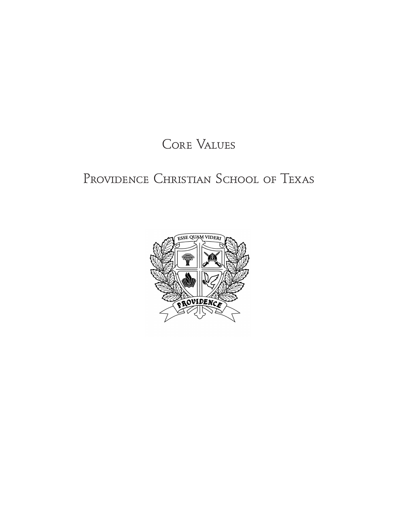# Core Values

# PROVIDENCE CHRISTIAN SCHOOL OF TEXAS

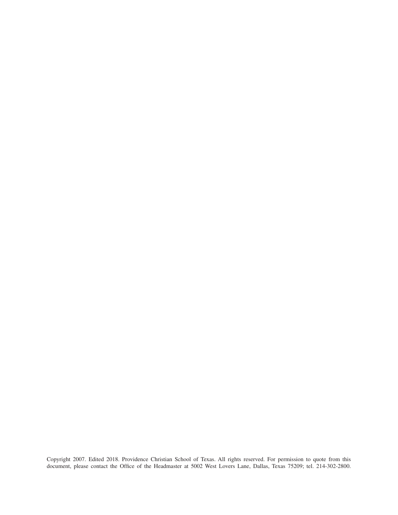Copyright 2007. Edited 2018. Providence Christian School of Texas. All rights reserved. For permission to quote from this document, please contact the Office of the Headmaster at 5002 West Lovers Lane, Dallas, Texas 75209; tel. 214-302-2800.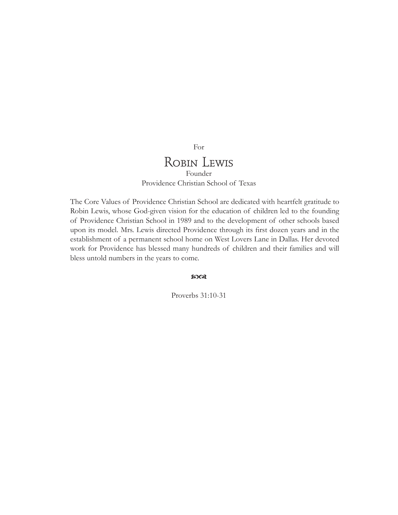# Robin Lewis Founder

For

Providence Christian School of Texas

The Core Values of Providence Christian School are dedicated with heartfelt gratitude to Robin Lewis, whose God-given vision for the education of children led to the founding of Providence Christian School in 1989 and to the development of other schools based upon its model. Mrs. Lewis directed Providence through its first dozen years and in the establishment of a permanent school home on West Lovers Lane in Dallas. Her devoted work for Providence has blessed many hundreds of children and their families and will bless untold numbers in the years to come.

 $2003$ 

Proverbs 31:10-31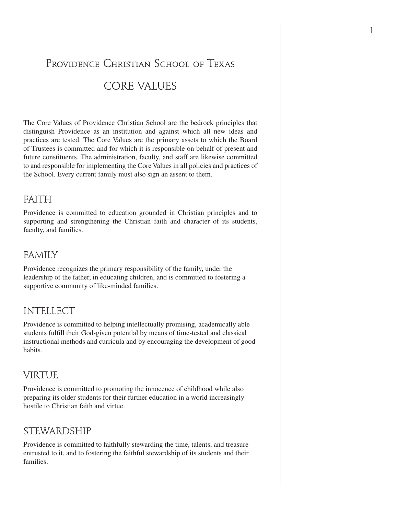# PROVIDENCE CHRISTIAN SCHOOL OF TEXAS CORE VALUES

The Core Values of Providence Christian School are the bedrock principles that distinguish Providence as an institution and against which all new ideas and practices are tested. The Core Values are the primary assets to which the Board of Trustees is committed and for which it is responsible on behalf of present and future constituents. The administration, faculty, and staff are likewise committed to and responsible for implementing the Core Values in all policies and practices of the School. Every current family must also sign an assent to them.

## FAITH

Providence is committed to education grounded in Christian principles and to supporting and strengthening the Christian faith and character of its students, faculty, and families.

# FAMILY

Providence recognizes the primary responsibility of the family, under the leadership of the father, in educating children, and is committed to fostering a supportive community of like-minded families.

## INTELLECT

Providence is committed to helping intellectually promising, academically able students fulfill their God-given potential by means of time-tested and classical instructional methods and curricula and by encouraging the development of good habits.

# VIRTUE

Providence is committed to promoting the innocence of childhood while also preparing its older students for their further education in a world increasingly hostile to Christian faith and virtue.

# STEWARDSHIP

Providence is committed to faithfully stewarding the time, talents, and treasure entrusted to it, and to fostering the faithful stewardship of its students and their families.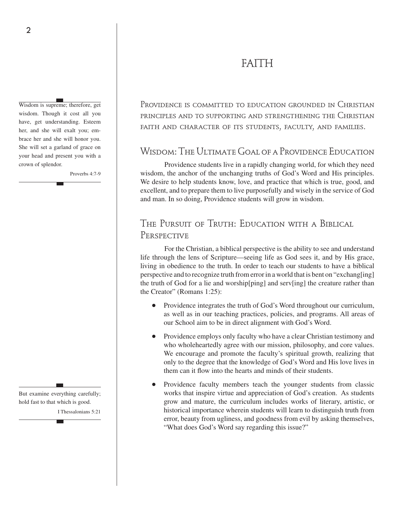# FAITH

Wisdom is supreme; therefore, get wisdom. Though it cost all you have, get understanding. Esteem her, and she will exalt you; embrace her and she will honor you. She will set a garland of grace on your head and present you with a crown of splendor.

Proverbs 4:7-9

But examine everything carefully; hold fast to that which is good.

I Thessalonians 5:21

Providence is committed to education grounded in Christian principles and to supporting and strengthening the Christian faith and character of its students, faculty, and families.

# Wisdom: The Ultimate Goal of a Providence Education

Providence students live in a rapidly changing world, for which they need wisdom, the anchor of the unchanging truths of God's Word and His principles. We desire to help students know, love, and practice that which is true, good, and excellent, and to prepare them to live purposefully and wisely in the service of God and man. In so doing, Providence students will grow in wisdom.

# THE PURSUIT OF TRUTH: EDUCATION WITH A BIBLICAL PERSPECTIVE

For the Christian, a biblical perspective is the ability to see and understand life through the lens of Scripture—seeing life as God sees it, and by His grace, living in obedience to the truth. In order to teach our students to have a biblical perspective and to recognize truth from error in a world that is bent on "exchang[ing] the truth of God for a lie and worship[ping] and serv[ing] the creature rather than the Creator" (Romans 1:25):

- Providence integrates the truth of God's Word throughout our curriculum, as well as in our teaching practices, policies, and programs. All areas of our School aim to be in direct alignment with God's Word.
- Providence employs only faculty who have a clear Christian testimony and who wholeheartedly agree with our mission, philosophy, and core values. We encourage and promote the faculty's spiritual growth, realizing that only to the degree that the knowledge of God's Word and His love lives in them can it flow into the hearts and minds of their students.
- Providence faculty members teach the younger students from classic works that inspire virtue and appreciation of God's creation. As students grow and mature, the curriculum includes works of literary, artistic, or historical importance wherein students will learn to distinguish truth from error, beauty from ugliness, and goodness from evil by asking themselves, "What does God's Word say regarding this issue?"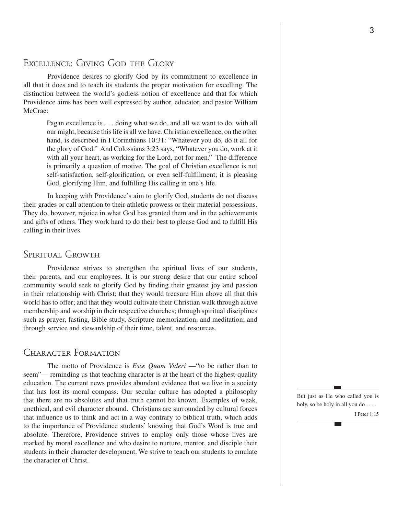## EXCELLENCE: GIVING GOD THE GLORY

Providence desires to glorify God by its commitment to excellence in all that it does and to teach its students the proper motivation for excelling. The distinction between the world's godless notion of excellence and that for which Providence aims has been well expressed by author, educator, and pastor William McCrae:

Pagan excellence is . . . doing what we do, and all we want to do, with all our might, because this life is all we have*.* Christian excellence, on the other hand, is described in I Corinthians 10:31: "Whatever you do, do it all for the glory of God." And Colossians 3:23 says, "Whatever you do, work at it with all your heart, as working for the Lord, not for men." The difference is primarily a question of motive. The goal of Christian excellence is not self-satisfaction, self-glorification, or even self-fulfillment; it is pleasing God, glorifying Him, and fulfilling His calling in one's life.

In keeping with Providence's aim to glorify God, students do not discuss their grades or call attention to their athletic prowess or their material possessions. They do, however, rejoice in what God has granted them and in the achievements and gifts of others. They work hard to do their best to please God and to fulfill His calling in their lives.

### Spiritual Growth

Providence strives to strengthen the spiritual lives of our students, their parents, and our employees. It is our strong desire that our entire school community would seek to glorify God by finding their greatest joy and passion in their relationship with Christ; that they would treasure Him above all that this world has to offer; and that they would cultivate their Christian walk through active membership and worship in their respective churches; through spiritual disciplines such as prayer, fasting, Bible study, Scripture memorization, and meditation; and through service and stewardship of their time, talent, and resources.

## Character Formation

The motto of Providence is *Esse Quam Videri* — "to be rather than to seem"— reminding us that teaching character is at the heart of the highest-quality education. The current news provides abundant evidence that we live in a society that has lost its moral compass. Our secular culture has adopted a philosophy that there are no absolutes and that truth cannot be known. Examples of weak, unethical, and evil character abound. Christians are surrounded by cultural forces that influence us to think and act in a way contrary to biblical truth, which adds to the importance of Providence students' knowing that God's Word is true and absolute. Therefore, Providence strives to employ only those whose lives are marked by moral excellence and who desire to nurture, mentor, and disciple their students in their character development. We strive to teach our students to emulate the character of Christ.

But just as He who called you is holy, so be holy in all you do . . . . I Peter 1:15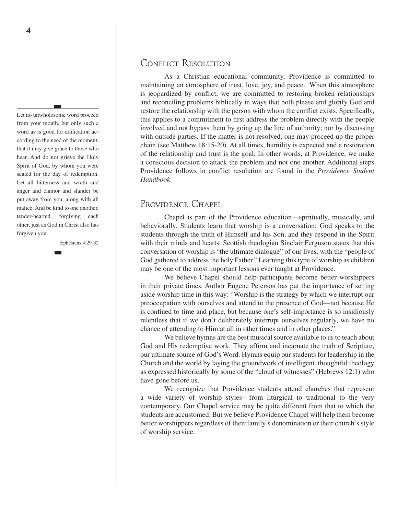Let no unwholesome word proceed from your mouth, but only such a word as is good for edification according to the need of the moment, that it may give grace to those who hear. And do not grieve the Holy Spirit of God, by whom you were sealed for the day of redemption. Let all bitterness and wrath and anger and clamor and slander be put away from you, along with all malice. And be kind to one another, tender-hearted, forgiving each other, just as God in Christ also has forgiven you.

Ephesians 4:29-32

### CONFLICT RESOLUTION

As a Christian educational community, Providence is committed to maintaining an atmosphere of trust, love, joy, and peace. When this atmosphere is jeopardized by conflict, we are committed to restoring broken relationships and reconciling problems biblically in ways that both please and glorify God and restore the relationship with the person with whom the conflict exists. Specifically, this applies to a commitment to first address the problem directly with the people involved and not bypass them by going up the line of authority; nor by discussing with outside parties. If the matter is not resolved, one may proceed up the proper chain (see Matthew 18:15-20). At all times, humility is expected and a restoration of the relationship and trust is the goal. In other words, at Providence, we make a conscious decision to attack the problem and not one another. Additional steps Providence follows in conflict resolution are found in the *Providence Student Handbook*.

## Providence Chapel

Chapel is part of the Providence education—spiritually, musically, and behaviorally. Students learn that worship is a conversation: God speaks to the students through the truth of Himself and his Son, and they respond in the Spirit with their minds and hearts. Scottish theologian Sinclair Ferguson states that this conversation of worship is "the ultimate dialogue" of our lives, with the "people of God gathered to address the holy Father." Learning this type of worship as children may be one of the most important lessons ever taught at Providence.

We believe Chapel should help participants become better worshippers in their private times. Author Eugene Peterson has put the importance of setting aside worship time in this way: "Worship is the strategy by which we interrupt our preoccupation with ourselves and attend to the presence of God—not because He is confined to time and place, but because one's self-importance is so insidiously relentless that if we don't deliberately interrupt ourselves regularly, we have no chance of attending to Him at all in other times and in other places."

We believe hymns are the best musical source available to us to teach about God and His redemptive work. They affirm and incarnate the truth of Scripture, our ultimate source of God's Word. Hymns equip our students for leadership in the Church and the world by laying the groundwork of intelligent, thoughtful theology as expressed historically by some of the "cloud of witnesses" (Hebrews 12:1) who have gone before us.

We recognize that Providence students attend churches that represent a wide variety of worship styles—from liturgical to traditional to the very contemporary. Our Chapel service may be quite different from that to which the students are accustomed. But we believe Providence Chapel will help them become better worshippers regardless of their family's denomination or their church's style of worship service.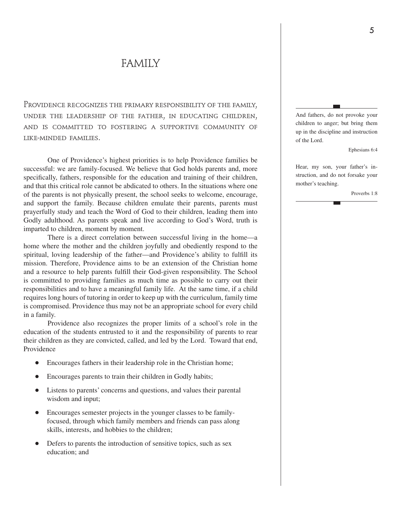# FAMILY

Providence recognizes the primary responsibility of the family, under the leadership of the father, in educating children, and is committed to fostering a supportive community of like-minded families.

One of Providence's highest priorities is to help Providence families be successful: we are family-focused. We believe that God holds parents and, more specifically, fathers, responsible for the education and training of their children, and that this critical role cannot be abdicated to others. In the situations where one of the parents is not physically present, the school seeks to welcome, encourage, and support the family. Because children emulate their parents, parents must prayerfully study and teach the Word of God to their children, leading them into Godly adulthood. As parents speak and live according to God's Word, truth is imparted to children, moment by moment.

There is a direct correlation between successful living in the home—a home where the mother and the children joyfully and obediently respond to the spiritual, loving leadership of the father—and Providence's ability to fulfill its mission. Therefore, Providence aims to be an extension of the Christian home and a resource to help parents fulfill their God-given responsibility. The School is committed to providing families as much time as possible to carry out their responsibilities and to have a meaningful family life. At the same time, if a child requires long hours of tutoring in order to keep up with the curriculum, family time is compromised. Providence thus may not be an appropriate school for every child in a family.

Providence also recognizes the proper limits of a school's role in the education of the students entrusted to it and the responsibility of parents to rear their children as they are convicted, called, and led by the Lord. Toward that end, Providence

- Encourages fathers in their leadership role in the Christian home;
- Encourages parents to train their children in Godly habits;
- Listens to parents' concerns and questions, and values their parental wisdom and input;
- Encourages semester projects in the younger classes to be familyfocused, through which family members and friends can pass along skills, interests, and hobbies to the children;
- Defers to parents the introduction of sensitive topics, such as sex education; and

And fathers, do not provoke your children to anger; but bring them up in the discipline and instruction of the Lord.

Ephesians 6:4

Hear, my son, your father's instruction, and do not forsake your mother's teaching.

Proverbs 1:8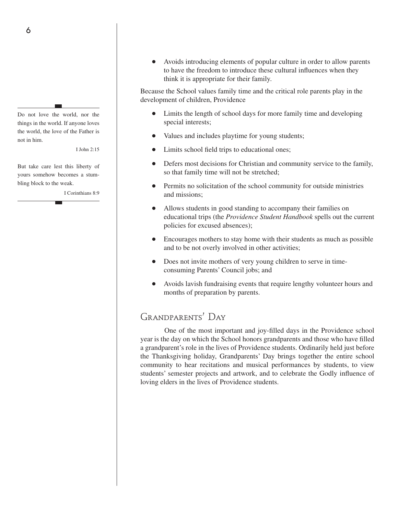Do not love the world, nor the things in the world. If anyone loves the world, the love of the Father is not in him.

I John 2:15

But take care lest this liberty of yours somehow becomes a stumbling block to the weak.

I Corinthians 8:9

Avoids introducing elements of popular culture in order to allow parents to have the freedom to introduce these cultural influences when they think it is appropriate for their family.

Because the School values family time and the critical role parents play in the development of children, Providence

- Limits the length of school days for more family time and developing special interests;
- Values and includes playtime for young students;
- Limits school field trips to educational ones;
- Defers most decisions for Christian and community service to the family, so that family time will not be stretched;
- Permits no solicitation of the school community for outside ministries and missions;
- Allows students in good standing to accompany their families on educational trips (the *Providence Student Handbook* spells out the current policies for excused absences);
- Encourages mothers to stay home with their students as much as possible and to be not overly involved in other activities;
- Does not invite mothers of very young children to serve in timeconsuming Parents' Council jobs; and
- Avoids lavish fundraising events that require lengthy volunteer hours and months of preparation by parents.

## Grandparents' Day

One of the most important and joy-filled days in the Providence school year is the day on which the School honors grandparents and those who have filled a grandparent's role in the lives of Providence students. Ordinarily held just before the Thanksgiving holiday, Grandparents' Day brings together the entire school community to hear recitations and musical performances by students, to view students' semester projects and artwork, and to celebrate the Godly influence of loving elders in the lives of Providence students.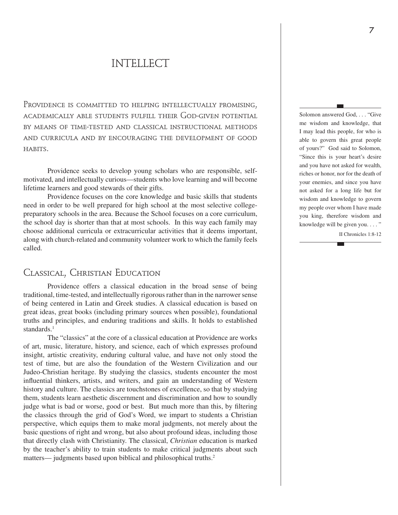# INTELLECT

PROVIDENCE IS COMMITTED TO HELPING INTELLECTUALLY PROMISING. academically able students fulfill their God-given potential by means of time-tested and classical instructional methods and curricula and by encouraging the development of good habits.

Providence seeks to develop young scholars who are responsible, selfmotivated, and intellectually curious—students who love learning and will become lifetime learners and good stewards of their gifts.

Providence focuses on the core knowledge and basic skills that students need in order to be well prepared for high school at the most selective collegepreparatory schools in the area. Because the School focuses on a core curriculum, the school day is shorter than that at most schools. In this way each family may choose additional curricula or extracurricular activities that it deems important, along with church-related and community volunteer work to which the family feels called.

# Classical, Christian Education

Providence offers a classical education in the broad sense of being traditional, time-tested, and intellectually rigorous rather than in the narrower sense of being centered in Latin and Greek studies. A classical education is based on great ideas, great books (including primary sources when possible), foundational truths and principles, and enduring traditions and skills. It holds to established standards<sup>1</sup>

The "classics" at the core of a classical education at Providence are works of art, music, literature, history, and science, each of which expresses profound insight, artistic creativity, enduring cultural value, and have not only stood the test of time, but are also the foundation of the Western Civilization and our Judeo-Christian heritage. By studying the classics, students encounter the most influential thinkers, artists, and writers, and gain an understanding of Western history and culture. The classics are touchstones of excellence, so that by studying them, students learn aesthetic discernment and discrimination and how to soundly judge what is bad or worse, good or best. But much more than this, by filtering the classics through the grid of God's Word, we impart to students a Christian perspective, which equips them to make moral judgments, not merely about the basic questions of right and wrong, but also about profound ideas, including those that directly clash with Christianity. The classical, *Christian* education is marked by the teacher's ability to train students to make critical judgments about such matters— judgments based upon biblical and philosophical truths.<sup>2</sup>

Solomon answered God, . . . "Give me wisdom and knowledge, that I may lead this people, for who is able to govern this great people of yours?" God said to Solomon, "Since this is your heart's desire and you have not asked for wealth, riches or honor, nor for the death of your enemies, and since you have not asked for a long life but for wisdom and knowledge to govern my people over whom I have made you king, therefore wisdom and knowledge will be given you...."

II Chronicles 1:8-12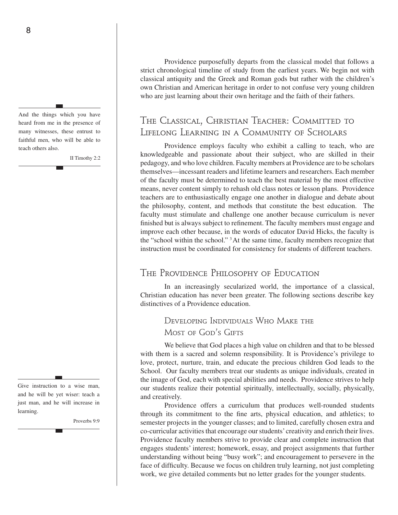And the things which you have heard from me in the presence of many witnesses, these entrust to faithful men, who will be able to teach others also.

II Timothy 2:2

Give instruction to a wise man, and he will be yet wiser: teach a just man, and he will increase in learning.

Proverbs 9:9

Providence purposefully departs from the classical model that follows a strict chronological timeline of study from the earliest years. We begin not with classical antiquity and the Greek and Roman gods but rather with the children's own Christian and American heritage in order to not confuse very young children who are just learning about their own heritage and the faith of their fathers.

# The Classical, Christian Teacher: Committed to Lifelong Learning in a Community of Scholars

Providence employs faculty who exhibit a calling to teach, who are knowledgeable and passionate about their subject, who are skilled in their pedagogy, and who love children. Faculty members at Providence are to be scholars themselves—incessant readers and lifetime learners and researchers. Each member of the faculty must be determined to teach the best material by the most effective means, never content simply to rehash old class notes or lesson plans. Providence teachers are to enthusiastically engage one another in dialogue and debate about the philosophy, content, and methods that constitute the best education. The faculty must stimulate and challenge one another because curriculum is never finished but is always subject to refinement. The faculty members must engage and improve each other because, in the words of educator David Hicks, the faculty is the "school within the school." 3 At the same time, faculty members recognize that instruction must be coordinated for consistency for students of different teachers.

# The Providence Philosophy of Education

In an increasingly secularized world, the importance of a classical, Christian education has never been greater. The following sections describe key distinctives of a Providence education.

# Developing Individuals Who Make the Most of God's GIFTS

We believe that God places a high value on children and that to be blessed with them is a sacred and solemn responsibility. It is Providence's privilege to love, protect, nurture, train, and educate the precious children God leads to the School. Our faculty members treat our students as unique individuals, created in the image of God, each with special abilities and needs. Providence strives to help our students realize their potential spiritually, intellectually, socially, physically, and creatively.

Providence offers a curriculum that produces well-rounded students through its commitment to the fine arts, physical education, and athletics; to semester projects in the younger classes; and to limited, carefully chosen extra and co-curricular activities that encourage our students' creativity and enrich their lives. Providence faculty members strive to provide clear and complete instruction that engages students' interest; homework, essay, and project assignments that further understanding without being "busy work"; and encouragement to persevere in the face of difficulty. Because we focus on children truly learning, not just completing work, we give detailed comments but no letter grades for the younger students.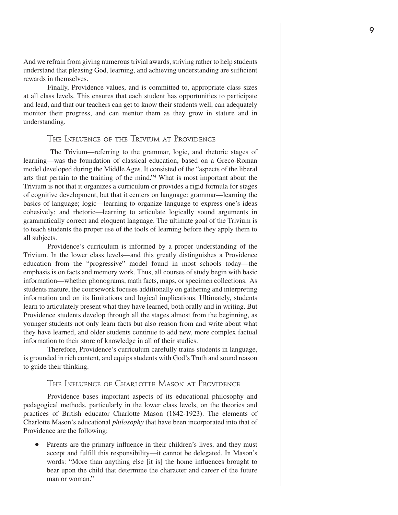And we refrain from giving numerous trivial awards, striving rather to help students understand that pleasing God, learning, and achieving understanding are sufficient rewards in themselves.

Finally, Providence values, and is committed to, appropriate class sizes at all class levels. This ensures that each student has opportunities to participate and lead, and that our teachers can get to know their students well, can adequately monitor their progress, and can mentor them as they grow in stature and in understanding.

#### The Influence of the Trivium at Providence

 The Trivium—referring to the grammar, logic, and rhetoric stages of learning—was the foundation of classical education, based on a Greco-Roman model developed during the Middle Ages. It consisted of the "aspects of the liberal arts that pertain to the training of the mind."4 What is most important about the Trivium is not that it organizes a curriculum or provides a rigid formula for stages of cognitive development, but that it centers on language: grammar—learning the basics of language; logic—learning to organize language to express one's ideas cohesively; and rhetoric—learning to articulate logically sound arguments in grammatically correct and eloquent language. The ultimate goal of the Trivium is to teach students the proper use of the tools of learning before they apply them to all subjects.

Providence's curriculum is informed by a proper understanding of the Trivium. In the lower class levels—and this greatly distinguishes a Providence education from the "progressive" model found in most schools today—the emphasis is on facts and memory work. Thus, all courses of study begin with basic information—whether phonograms, math facts, maps, or specimen collections. As students mature, the coursework focuses additionally on gathering and interpreting information and on its limitations and logical implications. Ultimately, students learn to articulately present what they have learned, both orally and in writing. But Providence students develop through all the stages almost from the beginning, as younger students not only learn facts but also reason from and write about what they have learned, and older students continue to add new, more complex factual information to their store of knowledge in all of their studies.

Therefore, Providence's curriculum carefully trains students in language, is grounded in rich content, and equips students with God's Truth and sound reason to guide their thinking.

#### The Influence of Charlotte Mason at Providence

Providence bases important aspects of its educational philosophy and pedagogical methods, particularly in the lower class levels, on the theories and practices of British educator Charlotte Mason (1842-1923). The elements of Charlotte Mason's educational *philosophy* that have been incorporated into that of Providence are the following:

Parents are the primary influence in their children's lives, and they must accept and fulfill this responsibility—it cannot be delegated. In Mason's words: "More than anything else [it is] the home influences brought to bear upon the child that determine the character and career of the future man or woman."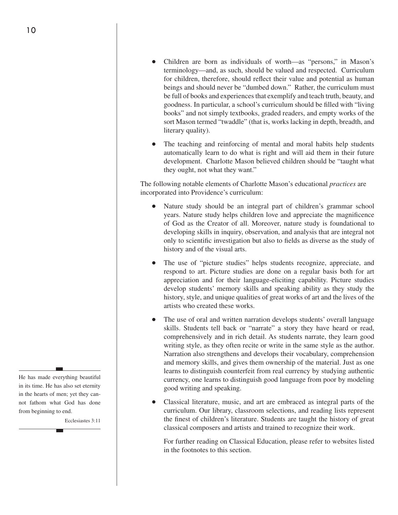- Children are born as individuals of worth—as "persons," in Mason's terminology—and, as such, should be valued and respected. Curriculum for children, therefore, should reflect their value and potential as human beings and should never be "dumbed down." Rather, the curriculum must be full of books and experiences that exemplify and teach truth, beauty, and goodness. In particular, a school's curriculum should be filled with "living books" and not simply textbooks, graded readers, and empty works of the sort Mason termed "twaddle" (that is, works lacking in depth, breadth, and literary quality).
- The teaching and reinforcing of mental and moral habits help students automatically learn to do what is right and will aid them in their future development. Charlotte Mason believed children should be "taught what they ought, not what they want."

The following notable elements of Charlotte Mason's educational *practices* are incorporated into Providence's curriculum:

- Nature study should be an integral part of children's grammar school years. Nature study helps children love and appreciate the magnificence of God as the Creator of all. Moreover, nature study is foundational to developing skills in inquiry, observation, and analysis that are integral not only to scientific investigation but also to fields as diverse as the study of history and of the visual arts.
- The use of "picture studies" helps students recognize, appreciate, and respond to art. Picture studies are done on a regular basis both for art appreciation and for their language-eliciting capability. Picture studies develop students' memory skills and speaking ability as they study the history, style, and unique qualities of great works of art and the lives of the artists who created these works.
- The use of oral and written narration develops students' overall language skills. Students tell back or "narrate" a story they have heard or read, comprehensively and in rich detail. As students narrate, they learn good writing style, as they often recite or write in the same style as the author. Narration also strengthens and develops their vocabulary, comprehension and memory skills, and gives them ownership of the material. Just as one learns to distinguish counterfeit from real currency by studying authentic currency, one learns to distinguish good language from poor by modeling good writing and speaking.
- Classical literature, music, and art are embraced as integral parts of the curriculum. Our library, classroom selections, and reading lists represent the finest of children's literature. Students are taught the history of great classical composers and artists and trained to recognize their work.

For further reading on Classical Education, please refer to websites listed in the footnotes to this section.

He has made everything beautiful in its time. He has also set eternity in the hearts of men; yet they cannot fathom what God has done from beginning to end.

Ecclesiastes 3:11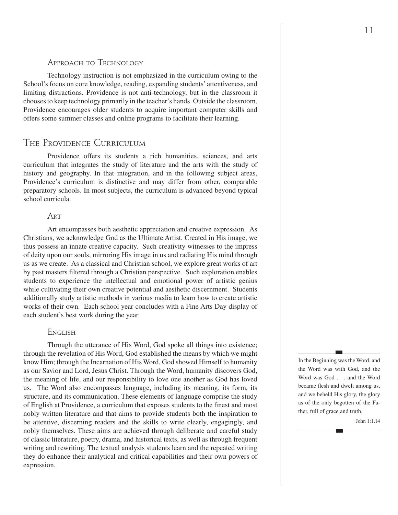#### Approach to Technology

Technology instruction is not emphasized in the curriculum owing to the School's focus on core knowledge, reading, expanding students' attentiveness, and limiting distractions. Providence is not anti-technology, but in the classroom it chooses to keep technology primarily in the teacher's hands. Outside the classroom, Providence encourages older students to acquire important computer skills and offers some summer classes and online programs to facilitate their learning.

### The Providence Curriculum

Providence offers its students a rich humanities, sciences, and arts curriculum that integrates the study of literature and the arts with the study of history and geography. In that integration, and in the following subject areas, Providence's curriculum is distinctive and may differ from other, comparable preparatory schools. In most subjects, the curriculum is advanced beyond typical school curricula.

#### **ART**

Art encompasses both aesthetic appreciation and creative expression. As Christians, we acknowledge God as the Ultimate Artist. Created in His image, we thus possess an innate creative capacity. Such creativity witnesses to the impress of deity upon our souls, mirroring His image in us and radiating His mind through us as we create. As a classical and Christian school, we explore great works of art by past masters filtered through a Christian perspective. Such exploration enables students to experience the intellectual and emotional power of artistic genius while cultivating their own creative potential and aesthetic discernment. Students additionally study artistic methods in various media to learn how to create artistic works of their own. Each school year concludes with a Fine Arts Day display of each student's best work during the year.

#### **ENGLISH**

Through the utterance of His Word, God spoke all things into existence; through the revelation of His Word, God established the means by which we might know Him; through the Incarnation of His Word, God showed Himself to humanity as our Savior and Lord, Jesus Christ. Through the Word, humanity discovers God, the meaning of life, and our responsibility to love one another as God has loved us. The Word also encompasses language, including its meaning, its form, its structure, and its communication. These elements of language comprise the study of English at Providence, a curriculum that exposes students to the finest and most nobly written literature and that aims to provide students both the inspiration to be attentive, discerning readers and the skills to write clearly, engagingly, and nobly themselves. These aims are achieved through deliberate and careful study of classic literature, poetry, drama, and historical texts, as well as through frequent writing and rewriting. The textual analysis students learn and the repeated writing they do enhance their analytical and critical capabilities and their own powers of expression.

In the Beginning was the Word, and the Word was with God, and the Word was God . . . and the Word became flesh and dwelt among us, and we beheld His glory, the glory as of the only begotten of the Father, full of grace and truth.

John 1:1,14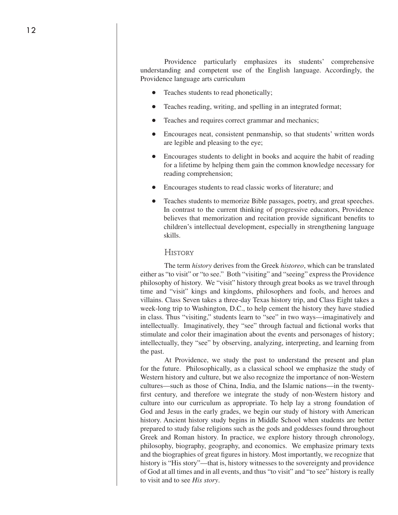Providence particularly emphasizes its students' comprehensive understanding and competent use of the English language. Accordingly, the Providence language arts curriculum

- Teaches students to read phonetically;
- Teaches reading, writing, and spelling in an integrated format;
- Teaches and requires correct grammar and mechanics;
- Encourages neat, consistent penmanship, so that students' written words are legible and pleasing to the eye;
- Encourages students to delight in books and acquire the habit of reading for a lifetime by helping them gain the common knowledge necessary for reading comprehension;
- Encourages students to read classic works of literature; and
- Teaches students to memorize Bible passages, poetry, and great speeches. In contrast to the current thinking of progressive educators, Providence believes that memorization and recitation provide significant benefits to children's intellectual development, especially in strengthening language skills.

#### **HISTORY**

The term *history* derives from the Greek *historeo*, which can be translated either as "to visit" or "to see." Both "visiting" and "seeing" express the Providence philosophy of history. We "visit" history through great books as we travel through time and "visit" kings and kingdoms, philosophers and fools, and heroes and villains. Class Seven takes a three-day Texas history trip, and Class Eight takes a week-long trip to Washington, D.C., to help cement the history they have studied in class. Thus "visiting," students learn to "see" in two ways—imaginatively and intellectually. Imaginatively, they "see" through factual and fictional works that stimulate and color their imagination about the events and personages of history; intellectually, they "see" by observing, analyzing, interpreting, and learning from the past.

At Providence, we study the past to understand the present and plan for the future. Philosophically, as a classical school we emphasize the study of Western history and culture, but we also recognize the importance of non-Western cultures—such as those of China, India, and the Islamic nations—in the twentyfirst century, and therefore we integrate the study of non-Western history and culture into our curriculum as appropriate. To help lay a strong foundation of God and Jesus in the early grades, we begin our study of history with American history. Ancient history study begins in Middle School when students are better prepared to study false religions such as the gods and goddesses found throughout Greek and Roman history. In practice, we explore history through chronology, philosophy, biography, geography, and economics. We emphasize primary texts and the biographies of great figures in history. Most importantly, we recognize that history is "His story"—that is, history witnesses to the sovereignty and providence of God at all times and in all events, and thus "to visit" and "to see" history is really to visit and to see *His story*.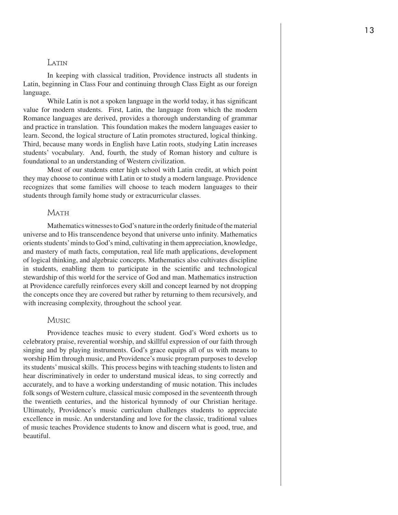#### **LATIN**

In keeping with classical tradition, Providence instructs all students in Latin, beginning in Class Four and continuing through Class Eight as our foreign language.

While Latin is not a spoken language in the world today, it has significant value for modern students. First, Latin, the language from which the modern Romance languages are derived, provides a thorough understanding of grammar and practice in translation. This foundation makes the modern languages easier to learn. Second, the logical structure of Latin promotes structured, logical thinking. Third, because many words in English have Latin roots, studying Latin increases students' vocabulary. And, fourth, the study of Roman history and culture is foundational to an understanding of Western civilization.

Most of our students enter high school with Latin credit, at which point they may choose to continue with Latin or to study a modern language. Providence recognizes that some families will choose to teach modern languages to their students through family home study or extracurricular classes.

#### **MATH**

Mathematics witnesses to God's nature in the orderly finitude of the material universe and to His transcendence beyond that universe unto infinity. Mathematics orients students' minds to God's mind, cultivating in them appreciation, knowledge, and mastery of math facts, computation, real life math applications, development of logical thinking, and algebraic concepts. Mathematics also cultivates discipline in students, enabling them to participate in the scientific and technological stewardship of this world for the service of God and man. Mathematics instruction at Providence carefully reinforces every skill and concept learned by not dropping the concepts once they are covered but rather by returning to them recursively, and with increasing complexity, throughout the school year.

#### **Music**

Providence teaches music to every student. God's Word exhorts us to celebratory praise, reverential worship, and skillful expression of our faith through singing and by playing instruments. God's grace equips all of us with means to worship Him through music, and Providence's music program purposes to develop its students' musical skills. This process begins with teaching students to listen and hear discriminatively in order to understand musical ideas, to sing correctly and accurately, and to have a working understanding of music notation. This includes folk songs of Western culture, classical music composed in the seventeenth through the twentieth centuries, and the historical hymnody of our Christian heritage. Ultimately, Providence's music curriculum challenges students to appreciate excellence in music. An understanding and love for the classic, traditional values of music teaches Providence students to know and discern what is good, true, and beautiful.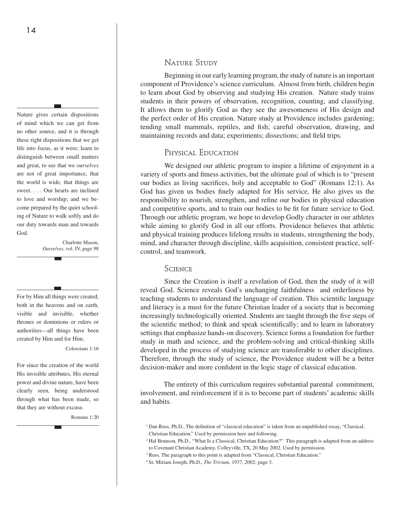Nature gives certain dispositions of mind which we can get from no other source, and it is through these right dispositions that we get life into focus, as it were; learn to distinguish between small matters and great, to see that we *ourselves* are not of great importance, that the world is wide, that things are sweet. . . . Our hearts are inclined to love and worship; and we become prepared by the quiet schooling of Nature to walk softly and do our duty towards man and towards God.

> Charlotte Mason, *Ourselves*, vol. IV, page 98

For by Him all things were created, both in the heavens and on earth, visible and invisible, whether thrones or dominions or rulers or authorities—all things have been created by Him and for Him.

Colossians 1:16

For since the creation of the world His invisible attributes, His eternal power and divine nature, have been clearly seen, being understood through what has been made, so that they are without excuse.

Romans 1:20

#### NATURE STUDY

Beginning in our early learning program, the study of nature is an important component of Providence's science curriculum. Almost from birth, children begin to learn about God by observing and studying His creation. Nature study trains students in their powers of observation, recognition, counting, and classifying. It allows them to glorify God as they see the awesomeness of His design and the perfect order of His creation. Nature study at Providence includes gardening; tending small mammals, reptiles, and fish; careful observation, drawing, and maintaining records and data; experiments; dissections; and field trips.

#### Physical Education

We designed our athletic program to inspire a lifetime of enjoyment in a variety of sports and fitness activities, but the ultimate goal of which is to "present our bodies as living sacrifices, holy and acceptable to God" (Romans 12:1). As God has given us bodies finely adapted for His service, He also gives us the responsibility to nourish, strengthen, and refine our bodies in physical education and competitive sports, and to train our bodies to be fit for future service to God. Through our athletic program, we hope to develop Godly character in our athletes while aiming to glorify God in all our efforts. Providence believes that athletic and physical training produces lifelong results in students, strengthening the body, mind, and character through discipline, skills acquisition, consistent practice, selfcontrol, and teamwork.

#### **SCIENCE**

Since the Creation is itself a revelation of God, then the study of it will reveal God. Science reveals God's unchanging faithfulness and orderliness by teaching students to understand the language of creation. This scientific language and literacy is a must for the future Christian leader of a society that is becoming increasingly technologically oriented. Students are taught through the five steps of the scientific method; to think and speak scientifically; and to learn in laboratory settings that emphasize hands-on discovery. Science forms a foundation for further study in math and science, and the problem-solving and critical-thinking skills developed in the process of studying science are transferable to other disciplines. Therefore, through the study of science, the Providence student will be a better decision-maker and more confident in the logic stage of classical education.

The entirety of this curriculum requires substantial parental commitment, involvement, and reinforcement if it is to become part of students' academic skills and habits.

<sup>1</sup> Dan Russ, Ph.D., The definition of "classical education" is taken from an unpublished essay, "Classical, Christian Education." Used by permission here and following.

<sup>&</sup>lt;sup>2</sup> Hal Brunson, Ph.D., "What Is a Classical, Christian Education?" This paragraph is adapted from an address to Covenant Christian Academy, Colleyville, TX, 20 May 2002. Used by permission.

<sup>&</sup>lt;sup>3</sup> Russ. The paragraph to this point is adapted from "Classical, Christian Education."

<sup>4</sup> Sr. Miriam Joseph, Ph.D., *The Trivium*, 1937, 2002; page 3.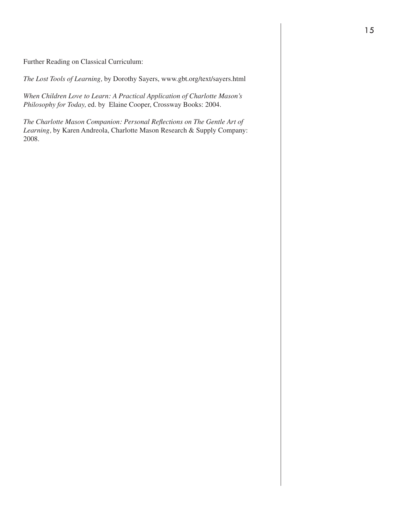Further Reading on Classical Curriculum:

*The Lost Tools of Learning,* by Dorothy Sayers, www.gbt.org/text/sayers.html

*When Children Love to Learn: A Practical Application of Charlotte Mason's Philosophy for Today,* ed. by Elaine Cooper, Crossway Books: 2004.

*The Charlotte Mason Companion: Personal Reflections on The Gentle Art of Learning,* by Karen Andreola, Charlotte Mason Research & Supply Company: 2008.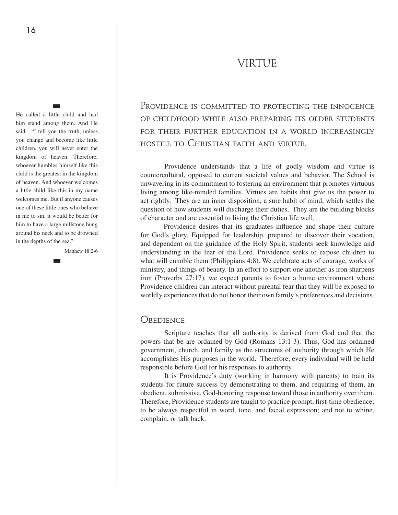# VIRTUE

He called a little child and had him stand among them. And He said: "I tell you the truth, unless you change and become like little children, you will never enter the kingdom of heaven. Therefore, whoever humbles himself like this child is the greatest in the kingdom of heaven. And whoever welcomes a little child like this in my name welcomes me. But if anyone causes one of these little ones who believe in me to sin, it would be better for him to have a large millstone hung around his neck and to be drowned in the depths of the sea."

Matthew 18:2-6

PROVIDENCE IS COMMITTED TO PROTECTING THE INNOCENCE of childhood while also preparing its older students for their further education in a world increasingly hostile to Christian faith and virtue.

Providence understands that a life of godly wisdom and virtue is countercultural, opposed to current societal values and behavior. The School is unwavering in its commitment to fostering an environment that promotes virtuous living among like-minded families. Virtues are habits that give us the power to act rightly. They are an inner disposition, a sure habit of mind, which settles the question of how students will discharge their duties. They are the building blocks of character and are essential to living the Christian life well.

Providence desires that its graduates influence and shape their culture for God's glory. Equipped for leadership, prepared to discover their vocation, and dependent on the guidance of the Holy Spirit, students seek knowledge and understanding in the fear of the Lord. Providence seeks to expose children to what will ennoble them (Philippians 4:8). We celebrate acts of courage, works of ministry, and things of beauty. In an effort to support one another as iron sharpens iron (Proverbs 27:17), we expect parents to foster a home environment where Providence children can interact without parental fear that they will be exposed to worldly experiences that do not honor their own family's preferences and decisions.

#### **OBEDIENCE**

Scripture teaches that all authority is derived from God and that the powers that be are ordained by God (Romans 13:1-3). Thus, God has ordained government, church, and family as the structures of authority through which He accomplishes His purposes in the world. Therefore, every individual will be held responsible before God for his responses to authority.

It is Providence's duty (working in harmony with parents) to train its students for future success by demonstrating to them, and requiring of them, an obedient, submissive, God-honoring response toward those in authority over them. Therefore, Providence students are taught to practice prompt, first-time obedience; to be always respectful in word, tone, and facial expression; and not to whine, complain, or talk back.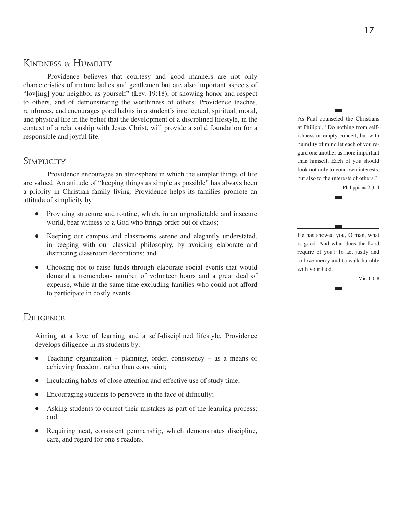# Kindness & Humility

Providence believes that courtesy and good manners are not only characteristics of mature ladies and gentlemen but are also important aspects of "lov[ing] your neighbor as yourself" (Lev. 19:18), of showing honor and respect to others, and of demonstrating the worthiness of others. Providence teaches, reinforces, and encourages good habits in a student's intellectual, spiritual, moral, and physical life in the belief that the development of a disciplined lifestyle, in the context of a relationship with Jesus Christ, will provide a solid foundation for a responsible and joyful life.

## Simplicity

Providence encourages an atmosphere in which the simpler things of life are valued. An attitude of "keeping things as simple as possible" has always been a priority in Christian family living. Providence helps its families promote an attitude of simplicity by:

- Providing structure and routine, which, in an unpredictable and insecure world, bear witness to a God who brings order out of chaos;
- Keeping our campus and classrooms serene and elegantly understated, in keeping with our classical philosophy, by avoiding elaborate and distracting classroom decorations; and
- Choosing not to raise funds through elaborate social events that would demand a tremendous number of volunteer hours and a great deal of expense, while at the same time excluding families who could not afford to participate in costly events.

## DILIGENCE

Aiming at a love of learning and a self-disciplined lifestyle, Providence develops diligence in its students by:

- Teaching organization planning, order, consistency as a means of achieving freedom, rather than constraint;
- Inculcating habits of close attention and effective use of study time;
- Encouraging students to persevere in the face of difficulty;
- Asking students to correct their mistakes as part of the learning process; and
- Requiring neat, consistent penmanship, which demonstrates discipline, care, and regard for one's readers.

As Paul counseled the Christians at Philippi, "Do nothing from selfishness or empty conceit, but with humility of mind let each of you regard one another as more important than himself. Each of you should look not only to your own interests, but also to the interests of others."

Philippians 2:3, 4

He has showed you, O man, what is good. And what does the Lord require of you? To act justly and to love mercy and to walk humbly with your God.

Micah 6:8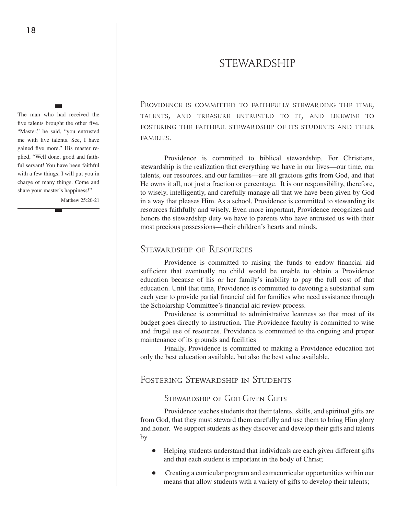# STEWARDSHIP

The man who had received the five talents brought the other five. "Master," he said, "you entrusted me with five talents. See, I have gained five more." His master replied, "Well done, good and faithful servant! You have been faithful with a few things; I will put you in charge of many things. Come and share your master's happiness!"

Matthew 25:20-21

PROVIDENCE IS COMMITTED TO FAITHFULLY STEWARDING THE TIME. talents, and treasure entrusted to it, and likewise to fostering the faithful stewardship of its students and their families.

Providence is committed to biblical stewardship. For Christians, stewardship is the realization that everything we have in our lives—our time, our talents, our resources, and our families—are all gracious gifts from God, and that He owns it all, not just a fraction or percentage. It is our responsibility, therefore, to wisely, intelligently, and carefully manage all that we have been given by God in a way that pleases Him. As a school, Providence is committed to stewarding its resources faithfully and wisely. Even more important, Providence recognizes and honors the stewardship duty we have to parents who have entrusted us with their most precious possessions—their children's hearts and minds.

#### Stewardship of Resources

Providence is committed to raising the funds to endow financial aid sufficient that eventually no child would be unable to obtain a Providence education because of his or her family's inability to pay the full cost of that education. Until that time, Providence is committed to devoting a substantial sum each year to provide partial financial aid for families who need assistance through the Scholarship Committee's financial aid review process.

Providence is committed to administrative leanness so that most of its budget goes directly to instruction. The Providence faculty is committed to wise and frugal use of resources. Providence is committed to the ongoing and proper maintenance of its grounds and facilities

Finally, Providence is committed to making a Providence education not only the best education available, but also the best value available.

#### Fostering Stewardship in Students

#### Stewardship of God-Given Gifts

Providence teaches students that their talents, skills, and spiritual gifts are from God, that they must steward them carefully and use them to bring Him glory and honor. We support students as they discover and develop their gifts and talents by

- Helping students understand that individuals are each given different gifts and that each student is important in the body of Christ;
- Creating a curricular program and extracurricular opportunities within our means that allow students with a variety of gifts to develop their talents;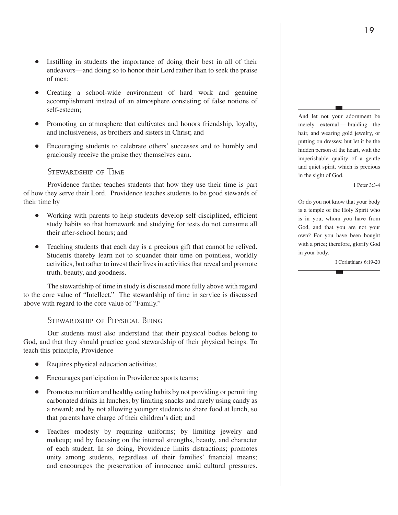- Instilling in students the importance of doing their best in all of their endeavors—and doing so to honor their Lord rather than to seek the praise of men;
- Creating a school-wide environment of hard work and genuine accomplishment instead of an atmosphere consisting of false notions of self-esteem;
- Promoting an atmosphere that cultivates and honors friendship, loyalty, and inclusiveness, as brothers and sisters in Christ; and
- Encouraging students to celebrate others' successes and to humbly and graciously receive the praise they themselves earn.

#### Stewardship of Time

Providence further teaches students that how they use their time is part of how they serve their Lord. Providence teaches students to be good stewards of their time by

- Working with parents to help students develop self-disciplined, efficient study habits so that homework and studying for tests do not consume all their after-school hours; and
- Teaching students that each day is a precious gift that cannot be relived. Students thereby learn not to squander their time on pointless, worldly activities, but rather to invest their lives in activities that reveal and promote truth, beauty, and goodness.

The stewardship of time in study is discussed more fully above with regard to the core value of "Intellect." The stewardship of time in service is discussed above with regard to the core value of "Family."

#### Stewardship of Physical Being

Our students must also understand that their physical bodies belong to God, and that they should practice good stewardship of their physical beings. To teach this principle, Providence

- Requires physical education activities;
- Encourages participation in Providence sports teams;
- Promotes nutrition and healthy eating habits by not providing or permitting carbonated drinks in lunches; by limiting snacks and rarely using candy as a reward; and by not allowing younger students to share food at lunch, so that parents have charge of their children's diet; and
- Teaches modesty by requiring uniforms; by limiting jewelry and makeup; and by focusing on the internal strengths, beauty, and character of each student. In so doing, Providence limits distractions; promotes unity among students, regardless of their families' financial means; and encourages the preservation of innocence amid cultural pressures.

And let not your adornment be merely external — braiding the hair, and wearing gold jewelry, or putting on dresses; but let it be the hidden person of the heart, with the imperishable quality of a gentle and quiet spirit, which is precious in the sight of God.

1 Peter 3:3-4

Or do you not know that your body is a temple of the Holy Spirit who is in you, whom you have from God, and that you are not your own? For you have been bought with a price; therefore, glorify God in your body.

I Corinthians 6:19-20